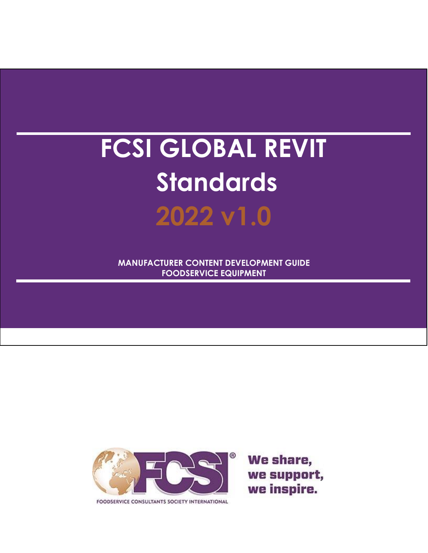# **FCSI GLOBAL REVIT Standards 2022 v1.0**

**MANUFACTURER CONTENT DEVELOPMENT GUIDE FOODSERVICE EQUIPMENT**



FOODSERVICE CONSULTANTS SOCIETY INTERNATIONAL

We share, we support, we inspire.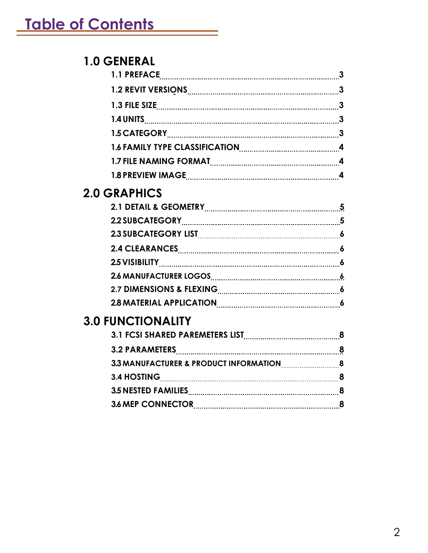# **1.0 GENERAL**

# **2.0 GRAPHICS**

| 2.1 DETAIL & GEOMETRY 2.1 DETAIL & GEOMETRY                                                                    |  |
|----------------------------------------------------------------------------------------------------------------|--|
| 2.2 SUBCATEGORY [[11] SUBCATEGORY [11] Manual Muslim Muslim Muslim Muslim Muslim Muslim Muslim Muslim Muslim M |  |
|                                                                                                                |  |
|                                                                                                                |  |
|                                                                                                                |  |
|                                                                                                                |  |
| 2.7 DIMENSIONS & FLEXING <b>CONSIDENT</b> 6                                                                    |  |
| 2.8 MATERIAL APPLICATION 2.8 MATERIAL APPLICATION                                                              |  |

# **3.0 FUNCTIONALITY**

| 3.4 HOSTING              |  |
|--------------------------|--|
| 3.5 NESTED FAMILIES 8    |  |
| <b>3.6 MEP CONNECTOR</b> |  |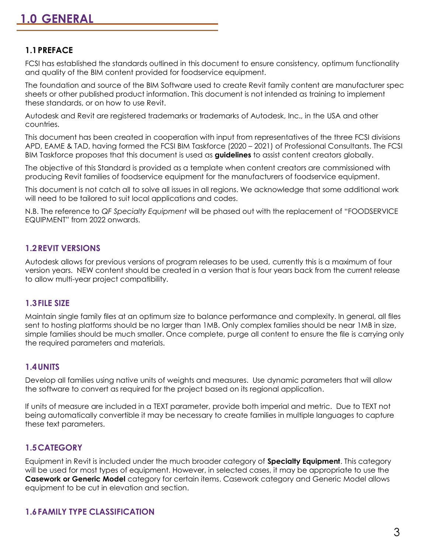# **1.1PREFACE**

FCSI has established the standards outlined in this document to ensure consistency, optimum functionality and quality of the BIM content provided for foodservice equipment.

The foundation and source of the BIM Software used to create Revit family content are manufacturer spec sheets or other published product information. This document is not intended as training to implement these standards, or on how to use Revit.

Autodesk and Revit are registered trademarks or trademarks of Autodesk, Inc., in the USA and other countries.

This document has been created in cooperation with input from representatives of the three FCSI divisions APD, EAME & TAD, having formed the FCSI BIM Taskforce (2020 – 2021) of Professional Consultants. The FCSI BIM Taskforce proposes that this document is used as **guidelines** to assist content creators globally.

The objective of this Standard is provided as a template when content creators are commissioned with producing Revit families of foodservice equipment for the manufacturers of foodservice equipment.

This document is not catch all to solve all issues in all regions. We acknowledge that some additional work will need to be tailored to suit local applications and codes.

N.B. The reference to *QF Specialty Equipment* will be phased out with the replacement of "FOODSERVICE EQUIPMENT" from 2022 onwards.

## **1.2REVIT VERSIONS**

Autodesk allows for previous versions of program releases to be used, currently this is a maximum of four version years. NEW content should be created in a version that is four years back from the current release to allow multi-year project compatibility.

#### **1.3FILE SIZE**

Maintain single family files at an optimum size to balance performance and complexity. In general, all files sent to hosting platforms should be no larger than 1MB. Only complex families should be near 1MB in size, simple families should be much smaller. Once complete, purge all content to ensure the file is carrying only the required parameters and materials.

# **1.4UNITS**

Develop all families using native units of weights and measures. Use dynamic parameters that will allow the software to convert as required for the project based on its regional application.

If units of measure are included in a TEXT parameter, provide both imperial and metric. Due to TEXT not being automatically convertible it may be necessary to create families in multiple languages to capture these text parameters.

# **1.5CATEGORY**

Equipment in Revit is included under the much broader category of **Specialty Equipment**. This category will be used for most types of equipment. However, in selected cases, it may be appropriate to use the **Casework or Generic Model** category for certain items. Casework category and Generic Model allows equipment to be cut in elevation and section.

#### **1.6FAMILY TYPE CLASSIFICATION**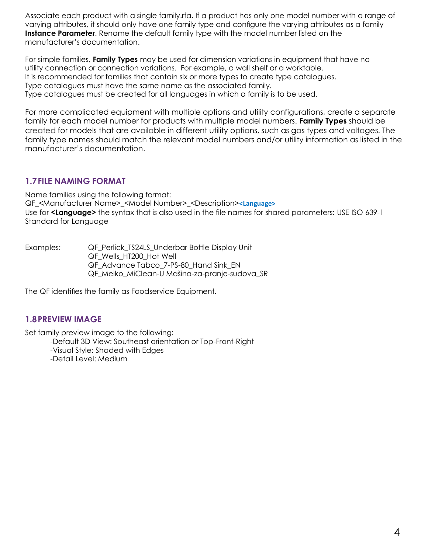Associate each product with a single family.rfa. If a product has only one model number with a range of varying attributes, it should only have one family type and configure the varying attributes as a family **Instance Parameter**. Rename the default family type with the model number listed on the manufacturer's documentation.

For simple families, **Family Types** may be used for dimension variations in equipment that have no utility connection or connection variations. For example, a wall shelf or a worktable. It is recommended for families that contain six or more types to create type catalogues. Type catalogues must have the same name as the associated family. Type catalogues must be created for all languages in which a family is to be used.

For more complicated equipment with multiple options and utility configurations, create a separate family for each model number for products with multiple model numbers. **Family Types** should be created for models that are available in different utility options, such as gas types and voltages. The family type names should match the relevant model numbers and/or utility information as listed in the manufacturer's documentation.

# **1.7FILE NAMING FORMAT**

Name families using the following format: QF\_<Manufacturer Name>\_<Model Number>\_<Description>**<Language>** Use for **<Language>** the syntax that is also used in the file names for shared parameters: USE ISO 639-1 Standard for Language

Examples: **QF Perlick TS24LS Underbar Bottle Display Unit** QF\_Wells\_HT200\_Hot Well QF Advance Tabco 7-PS-80 Hand Sink EN QF\_Meiko\_MiClean-U Mašina-za-pranje-sudova\_SR

The QF identifies the family as Foodservice Equipment.

# **1.8PREVIEW IMAGE**

Set family preview image to the following:

-Default 3D View: Southeast orientation or Top-Front-Right

-Visual Style: Shaded with Edges

-Detail Level: Medium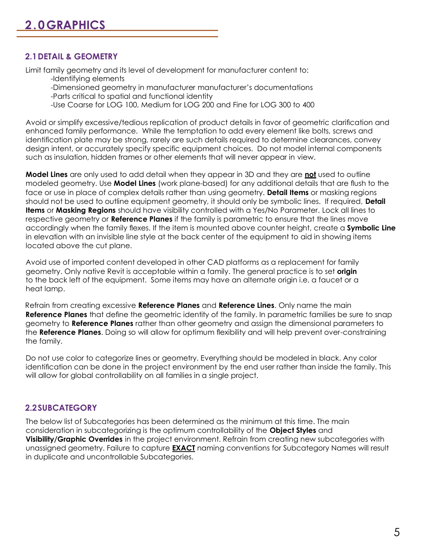# **2.1DETAIL & GEOMETRY**

Limit family geometry and its level of development for manufacturer content to: -Identifying elements

- -Dimensioned geometry in manufacturer manufacturer's documentations -Parts critical to spatial and functional identity
- -Use Coarse for LOG 100, Medium for LOG 200 and Fine for LOG 300 to 400

Avoid or simplify excessive/tedious replication of product details in favor of geometric clarification and enhanced family performance. While the temptation to add every element like bolts, screws and identification plate may be strong, rarely are such details required to determine clearances, convey design intent, or accurately specify specific equipment choices. Do not model internal components such as insulation, hidden frames or other elements that will never appear in view.

**Model Lines** are only used to add detail when they appear in 3D and they are **not** used to outline modeled geometry. Use **Model Lines** (work plane-based) for any additional details that are flush to the face or use in place of complex details rather than using geometry. **Detail Items** or masking regions should not be used to outline equipment geometry, it should only be symbolic lines. If required, **Detail Items** or **Masking Regions** should have visibility controlled with a Yes/No Parameter. Lock all lines to respective geometry or **Reference Planes** if the family is parametric to ensure that the lines move accordingly when the family flexes. If the item is mounted above counter height, create a **Symbolic Line**  in elevation with an invisible line style at the back center of the equipment to aid in showing items located above the cut plane.

Avoid use of imported content developed in other CAD platforms as a replacement for family geometry. Only native Revit is acceptable within a family. The general practice is to set **origin** to the back left of the equipment. Some items may have an alternate origin i.e. a faucet or a heat lamp.

Refrain from creating excessive **Reference Planes** and **Reference Lines**. Only name the main **Reference Planes** that define the geometric identity of the family. In parametric families be sure to snap geometry to **Reference Planes** rather than other geometry and assign the dimensional parameters to the **Reference Planes**. Doing so will allow for optimum flexibility and will help prevent over-constraining the family.

Do not use color to categorize lines or geometry. Everything should be modeled in black. Any color identification can be done in the project environment by the end user rather than inside the family. This will allow for global controllability on all families in a single project.

#### **2.2SUBCATEGORY**

The below list of Subcategories has been determined as the minimum at this time. The main consideration in subcategorizing is the optimum controllability of the **Object Styles** and **Visibility/Graphic Overrides** in the project environment. Refrain from creating new subcategories with unassigned geometry. Failure to capture **EXACT** naming conventions for Subcategory Names will result in duplicate and uncontrollable Subcategories.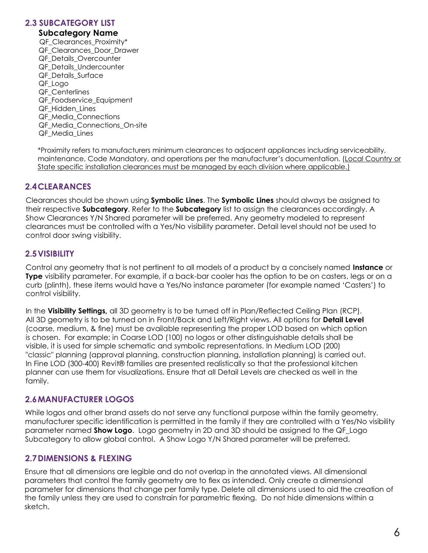#### **2.3 SUBCATEGORY LIST**

#### **Subcategory Name**

QF Clearances Proximity\* QF Clearances Door Drawer QF\_Details\_Overcounter QF\_Details\_Undercounter QF\_Details\_Surface QF\_Logo QF\_Centerlines QF Foodservice Equipment QF\_Hidden\_Lines QF\_Media\_Connections QF\_Media\_Connections\_On-site QF\_Media\_Lines

\*Proximity refers to manufacturers minimum clearances to adjacent appliances including serviceability, maintenance, Code Mandatory, and operations per the manufacturer's documentation. (Local Country or State specific installation clearances must be managed by each division where applicable.)

# **2.4CLEARANCES**

Clearances should be shown using **Symbolic Lines**. The **Symbolic Lines** should always be assigned to their respective **Subcategory**. Refer to the **Subcategory** list to assign the clearances accordingly. A Show Clearances Y/N Shared parameter will be preferred. Any geometry modeled to represent clearances must be controlled with a Yes/No visibility parameter. Detail level should not be used to control door swing visibility.

## **2.5VISIBILITY**

Control any geometry that is not pertinent to all models of a product by a concisely named **Instance** or **Type** visibility parameter. For example, if a back-bar cooler has the option to be on casters, legs or on a curb (plinth), these items would have a Yes/No instance parameter (for example named 'Casters') to control visibility.

In the **Visibility Settings,** all 3D geometry is to be turned off in Plan/Reflected Ceiling Plan (RCP). All 3D geometry is to be turned on in Front/Back and Left/Right views. All options for **Detail Level**  (coarse, medium, & fine) must be available representing the proper LOD based on which option is chosen. For example; in Coarse LOD (100) no logos or other distinguishable details shall be visible, it is used for simple schematic and symbolic representations. In Medium LOD (200) "classic" planning (approval planning, construction planning, installation planning) is carried out. In Fine LOD (300-400) Revit® families are presented realistically so that the professional kitchen planner can use them for visualizations. Ensure that all Detail Levels are checked as well in the family.

#### **2.6MANUFACTURER LOGOS**

While logos and other brand assets do not serve any functional purpose within the family geometry, manufacturer specific identification is permitted in the family if they are controlled with a Yes/No visibility parameter named **Show Logo**. Logo geometry in 2D and 3D should be assigned to the QF\_Logo Subcategory to allow global control. A Show Logo Y/N Shared parameter will be preferred.

#### **2.7DIMENSIONS & FLEXING**

Ensure that all dimensions are legible and do not overlap in the annotated views. All dimensional parameters that control the family geometry are to flex as intended. Only create a dimensional parameter for dimensions that change per family type. Delete all dimensions used to aid the creation of the family unless they are used to constrain for parametric flexing. Do not hide dimensions within a sketch.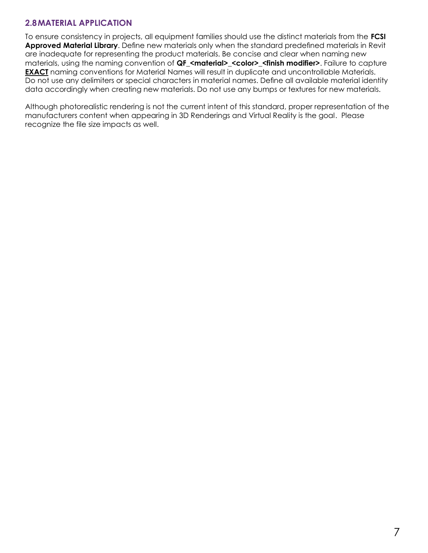# **2.8MATERIAL APPLICATION**

To ensure consistency in projects, all equipment families should use the distinct materials from the **FCSI Approved Material Library**. Define new materials only when the standard predefined materials in Revit are inadequate for representing the product materials. Be concise and clear when naming new materials, using the naming convention of **QF\_<material>\_<color>\_<finish modifier>**. Failure to capture **EXACT** naming conventions for Material Names will result in duplicate and uncontrollable Materials. Do not use any delimiters or special characters in material names. Define all available material identity data accordingly when creating new materials. Do not use any bumps or textures for new materials.

Although photorealistic rendering is not the current intent of this standard, proper representation of the manufacturers content when appearing in 3D Renderings and Virtual Reality is the goal. Please recognize the file size impacts as well.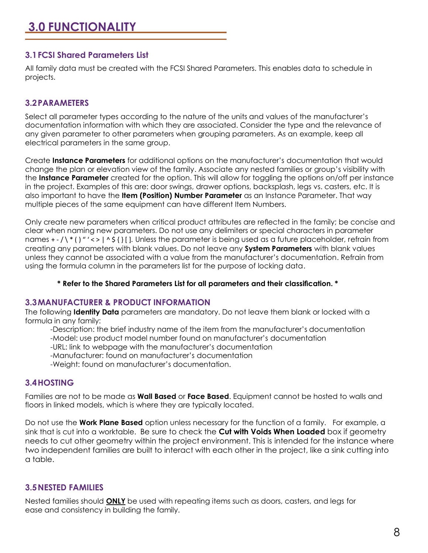## **3.1FCSI Shared Parameters List**

All family data must be created with the FCSI Shared Parameters. This enables data to schedule in projects.

## **3.2PARAMETERS**

Select all parameter types according to the nature of the units and values of the manufacturer's documentation information with which they are associated. Consider the type and the relevance of any given parameter to other parameters when grouping parameters. As an example, keep all electrical parameters in the same group.

Create **Instance Parameters** for additional options on the manufacturer's documentation that would change the plan or elevation view of the family. Associate any nested families or group's visibility with the **Instance Parameter** created for the option. This will allow for toggling the options on/off per instance in the project. Examples of this are: door swings, drawer options, backsplash, legs vs. casters, etc. It is also important to have the **Item (Position) Number Parameter** as an Instance Parameter. That way multiple pieces of the same equipment can have different Item Numbers.

Only create new parameters when critical product attributes are reflected in the family; be concise and clear when naming new parameters. Do not use any delimiters or special characters in parameter names  $+$   $-$  /  $\ast$  () "'  $\lt$  > | ^ \$ { } []. Unless the parameter is being used as a future placeholder, refrain from creating any parameters with blank values. Do not leave any **System Parameters** with blank values unless they cannot be associated with a value from the manufacturer's documentation. Refrain from using the formula column in the parameters list for the purpose of locking data.

**\* Refer to the Shared Parameters List for all parameters and their classification. \***

#### **3.3MANUFACTURER & PRODUCT INFORMATION**

The following **Identity Data** parameters are mandatory. Do not leave them blank or locked with a formula in any family:

- -Description: the brief industry name of the item from the manufacturer's documentation
- -Model: use product model number found on manufacturer's documentation
- -URL: link to webpage with the manufacturer's documentation
- -Manufacturer: found on manufacturer's documentation
- -Weight: found on manufacturer's documentation.

# **3.4HOSTING**

Families are not to be made as **Wall Based** or **Face Based**. Equipment cannot be hosted to walls and floors in linked models, which is where they are typically located.

Do not use the **Work Plane Based** option unless necessary for the function of a family. For example, a sink that is cut into a worktable. Be sure to check the **Cut with Voids When Loaded** box if geometry needs to cut other geometry within the project environment. This is intended for the instance where two independent families are built to interact with each other in the project, like a sink cutting into a table.

#### **3.5NESTED FAMILIES**

Nested families should **ONLY** be used with repeating items such as doors, casters, and legs for ease and consistency in building the family.